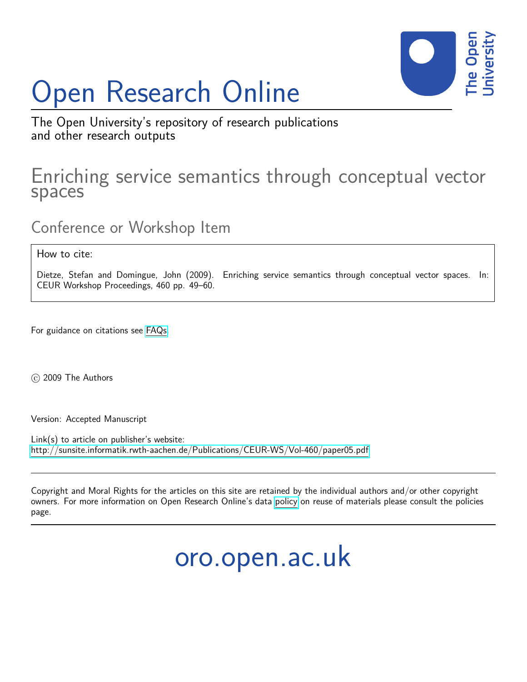# Open Research Online



The Open University's repository of research publications and other research outputs

# Enriching service semantics through conceptual vector spaces

Conference or Workshop Item

How to cite:

Dietze, Stefan and Domingue, John (2009). Enriching service semantics through conceptual vector spaces. In: CEUR Workshop Proceedings, 460 pp. 49–60.

For guidance on citations see [FAQs.](http://oro.open.ac.uk/help/helpfaq.html)

c 2009 The Authors

Version: Accepted Manuscript

Link(s) to article on publisher's website: <http://sunsite.informatik.rwth-aachen.de/Publications/CEUR-WS/Vol-460/paper05.pdf>

Copyright and Moral Rights for the articles on this site are retained by the individual authors and/or other copyright owners. For more information on Open Research Online's data [policy](http://oro.open.ac.uk/policies.html) on reuse of materials please consult the policies page.

oro.open.ac.uk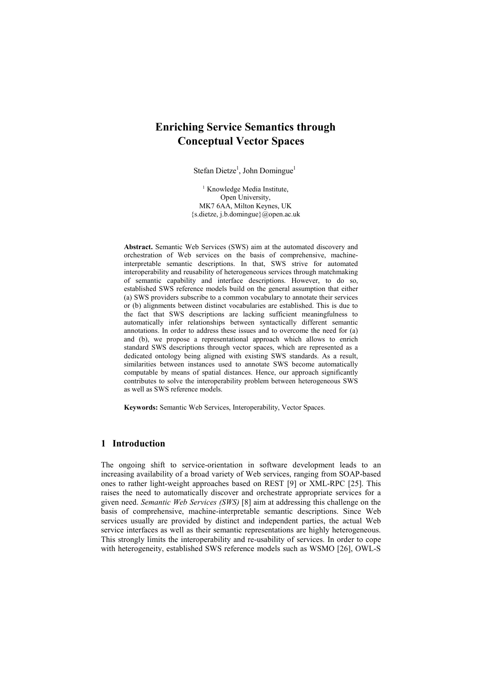# **Enriching Service Semantics through Conceptual Vector Spaces**

Stefan Dietze<sup>1</sup>, John Domingue<sup>1</sup>

<sup>1</sup> Knowledge Media Institute, Open University, MK7 6AA, Milton Keynes, UK {s.dietze, j.b.domingue}@open.ac.uk

**Abstract.** Semantic Web Services (SWS) aim at the automated discovery and orchestration of Web services on the basis of comprehensive, machineinterpretable semantic descriptions. In that, SWS strive for automated interoperability and reusability of heterogeneous services through matchmaking of semantic capability and interface descriptions. However, to do so, established SWS reference models build on the general assumption that either (a) SWS providers subscribe to a common vocabulary to annotate their services or (b) alignments between distinct vocabularies are established. This is due to the fact that SWS descriptions are lacking sufficient meaningfulness to automatically infer relationships between syntactically different semantic annotations. In order to address these issues and to overcome the need for (a) and (b), we propose a representational approach which allows to enrich standard SWS descriptions through vector spaces, which are represented as a dedicated ontology being aligned with existing SWS standards. As a result, similarities between instances used to annotate SWS become automatically computable by means of spatial distances. Hence, our approach significantly contributes to solve the interoperability problem between heterogeneous SWS as well as SWS reference models.

**Keywords:** Semantic Web Services, Interoperability, Vector Spaces.

# **1 Introduction**

The ongoing shift to service-orientation in software development leads to an increasing availability of a broad variety of Web services, ranging from SOAP-based ones to rather light-weight approaches based on REST [9] or XML-RPC [25]. This raises the need to automatically discover and orchestrate appropriate services for a given need. *Semantic Web Services (SWS)* [8] aim at addressing this challenge on the basis of comprehensive, machine-interpretable semantic descriptions. Since Web services usually are provided by distinct and independent parties, the actual Web service interfaces as well as their semantic representations are highly heterogeneous. This strongly limits the interoperability and re-usability of services. In order to cope with heterogeneity, established SWS reference models such as WSMO [26], OWL-S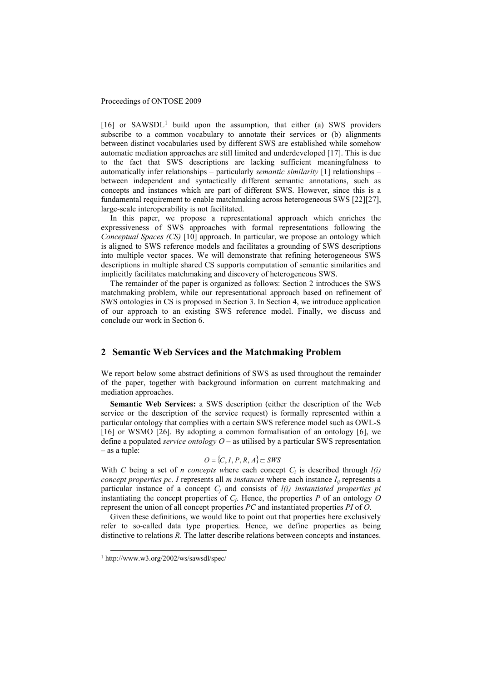$[16]$  or SAWSDL<sup>1</sup> build upon the assumption, that either (a) SWS providers subscribe to a common vocabulary to annotate their services or (b) alignments between distinct vocabularies used by different SWS are established while somehow automatic mediation approaches are still limited and underdeveloped [17]. This is due to the fact that SWS descriptions are lacking sufficient meaningfulness to automatically infer relationships – particularly *semantic similarity* [1] relationships – between independent and syntactically different semantic annotations, such as concepts and instances which are part of different SWS. However, since this is a fundamental requirement to enable matchmaking across heterogeneous SWS [22][27], large-scale interoperability is not facilitated.

In this paper, we propose a representational approach which enriches the expressiveness of SWS approaches with formal representations following the *Conceptual Spaces (CS)* [10] approach. In particular, we propose an ontology which is aligned to SWS reference models and facilitates a grounding of SWS descriptions into multiple vector spaces. We will demonstrate that refining heterogeneous SWS descriptions in multiple shared CS supports computation of semantic similarities and implicitly facilitates matchmaking and discovery of heterogeneous SWS.

The remainder of the paper is organized as follows: Section 2 introduces the SWS matchmaking problem, while our representational approach based on refinement of SWS ontologies in CS is proposed in Section 3. In Section 4, we introduce application of our approach to an existing SWS reference model. Finally, we discuss and conclude our work in Section 6.

# **2 Semantic Web Services and the Matchmaking Problem**

We report below some abstract definitions of SWS as used throughout the remainder of the paper, together with background information on current matchmaking and mediation approaches.

**Semantic Web Services:** a SWS description (either the description of the Web service or the description of the service request) is formally represented within a particular ontology that complies with a certain SWS reference model such as OWL-S [16] or WSMO [26]. By adopting a common formalisation of an ontology [6], we define a populated *service ontology O* – as utilised by a particular SWS representation – as a tuple:

# *O* = {*C*, *I*, *P*, *R*, *A*}⊂ *SWS*

With *C* being a set of *n concepts* where each concept  $C_i$  is described through  $l(i)$ *concept properties pc. I* represents all *m instances* where each instance  $I_{ii}$  represents a particular instance of a concept  $C_j$  and consists of  $l(i)$  instantiated properties pi instantiating the concept properties of *C<sup>j</sup>* . Hence, the properties *P* of an ontology *O* represent the union of all concept properties *PC* and instantiated properties *PI* of *O*.

Given these definitions, we would like to point out that properties here exclusively refer to so-called data type properties. Hence, we define properties as being distinctive to relations *R*. The latter describe relations between concepts and instances.

-

<sup>1</sup> http://www.w3.org/2002/ws/sawsdl/spec/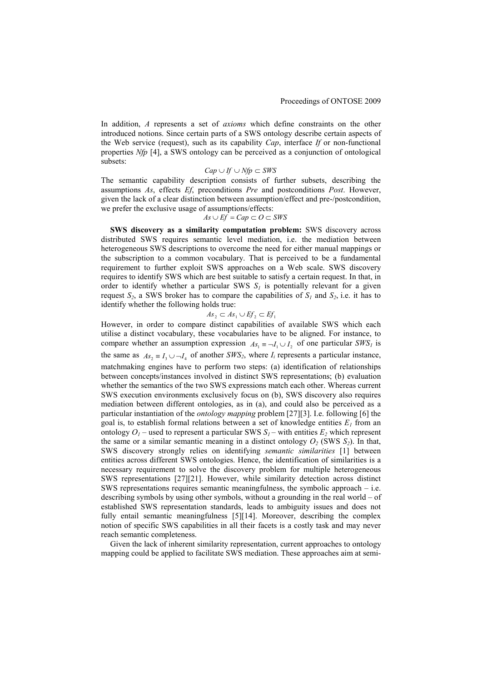In addition, *A* represents a set of *axioms* which define constraints on the other introduced notions. Since certain parts of a SWS ontology describe certain aspects of the Web service (request), such as its capability *Cap*, interface *If* or non-functional properties *Nfp* [4], a SWS ontology can be perceived as a conjunction of ontological subsets:

$$
Cap \cup If \cup Nfp \subset SWS
$$

The semantic capability description consists of further subsets, describing the assumptions *As*, effects *Ef*, preconditions *Pre* and postconditions *Post*. However, given the lack of a clear distinction between assumption/effect and pre-/postcondition, we prefer the exclusive usage of assumptions/effects:

$$
As \cup Ef = Cap \subset O \subset SWS
$$

**SWS discovery as a similarity computation problem:** SWS discovery across distributed SWS requires semantic level mediation, i.e. the mediation between heterogeneous SWS descriptions to overcome the need for either manual mappings or the subscription to a common vocabulary. That is perceived to be a fundamental requirement to further exploit SWS approaches on a Web scale. SWS discovery requires to identify SWS which are best suitable to satisfy a certain request. In that, in order to identify whether a particular SWS  $S<sub>l</sub>$  is potentially relevant for a given request  $S_2$ , a SWS broker has to compare the capabilities of  $S_1$  and  $S_2$ , i.e. it has to identify whether the following holds true:

$$
As_2 \subset As_1 \cup Ef_2 \subset Ef_1
$$

However, in order to compare distinct capabilities of available SWS which each utilise a distinct vocabulary, these vocabularies have to be aligned. For instance, to compare whether an assumption expression  $As_1 = \neg I_1 \cup I_2$  of one particular *SWS<sub>I</sub>* is the same as  $As_2 \equiv I_3 \cup -I_4$  of another *SWS*<sub>2</sub>, where  $I_i$  represents a particular instance, matchmaking engines have to perform two steps: (a) identification of relationships between concepts/instances involved in distinct SWS representations; (b) evaluation whether the semantics of the two SWS expressions match each other. Whereas current SWS execution environments exclusively focus on (b), SWS discovery also requires mediation between different ontologies, as in (a), and could also be perceived as a particular instantiation of the *ontology mapping* problem [27][3]. I.e. following [6] the goal is, to establish formal relations between a set of knowledge entities  $E_I$  from an ontology  $O_1$  – used to represent a particular SWS  $S_1$  – with entities  $E_2$  which represent the same or a similar semantic meaning in a distinct ontology  $O_2$  (SWS  $S_2$ ). In that, SWS discovery strongly relies on identifying *semantic similarities* [1] between entities across different SWS ontologies. Hence, the identification of similarities is a necessary requirement to solve the discovery problem for multiple heterogeneous SWS representations [27][21]. However, while similarity detection across distinct SWS representations requires semantic meaningfulness, the symbolic approach  $-$  i.e. describing symbols by using other symbols, without a grounding in the real world – of established SWS representation standards, leads to ambiguity issues and does not fully entail semantic meaningfulness [5][14]. Moreover, describing the complex notion of specific SWS capabilities in all their facets is a costly task and may never reach semantic completeness.

Given the lack of inherent similarity representation, current approaches to ontology mapping could be applied to facilitate SWS mediation. These approaches aim at semi-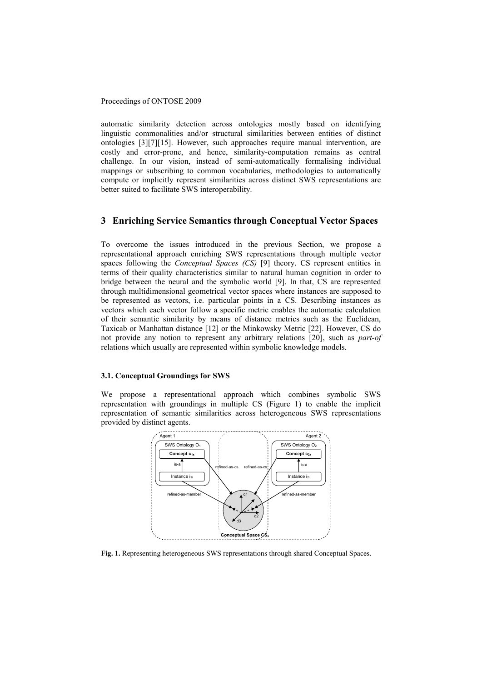automatic similarity detection across ontologies mostly based on identifying linguistic commonalities and/or structural similarities between entities of distinct ontologies [3][7][15]. However, such approaches require manual intervention, are costly and error-prone, and hence, similarity-computation remains as central challenge. In our vision, instead of semi-automatically formalising individual mappings or subscribing to common vocabularies, methodologies to automatically compute or implicitly represent similarities across distinct SWS representations are better suited to facilitate SWS interoperability.

# **3 Enriching Service Semantics through Conceptual Vector Spaces**

To overcome the issues introduced in the previous Section, we propose a representational approach enriching SWS representations through multiple vector spaces following the *Conceptual Spaces (CS)* [9] theory. CS represent entities in terms of their quality characteristics similar to natural human cognition in order to bridge between the neural and the symbolic world [9]. In that, CS are represented through multidimensional geometrical vector spaces where instances are supposed to be represented as vectors, i.e. particular points in a CS. Describing instances as vectors which each vector follow a specific metric enables the automatic calculation of their semantic similarity by means of distance metrics such as the Euclidean, Taxicab or Manhattan distance [12] or the Minkowsky Metric [22]. However, CS do not provide any notion to represent any arbitrary relations [20], such as *part-of* relations which usually are represented within symbolic knowledge models.

## **3.1. Conceptual Groundings for SWS**

We propose a representational approach which combines symbolic SWS representation with groundings in multiple CS (Figure 1) to enable the implicit representation of semantic similarities across heterogeneous SWS representations provided by distinct agents.



**Fig. 1.** Representing heterogeneous SWS representations through shared Conceptual Spaces.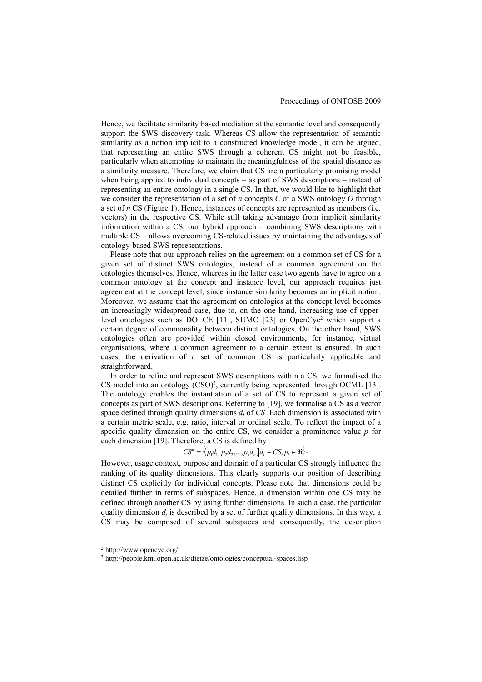Hence, we facilitate similarity based mediation at the semantic level and consequently support the SWS discovery task. Whereas CS allow the representation of semantic similarity as a notion implicit to a constructed knowledge model, it can be argued, that representing an entire SWS through a coherent CS might not be feasible, particularly when attempting to maintain the meaningfulness of the spatial distance as a similarity measure. Therefore, we claim that CS are a particularly promising model when being applied to individual concepts – as part of SWS descriptions – instead of representing an entire ontology in a single CS. In that, we would like to highlight that we consider the representation of a set of *n* concepts *C* of a SWS ontology *O* through a set of *n* CS (Figure 1). Hence, instances of concepts are represented as members (i.e. vectors) in the respective CS. While still taking advantage from implicit similarity information within a CS, our hybrid approach – combining SWS descriptions with multiple CS – allows overcoming CS-related issues by maintaining the advantages of ontology-based SWS representations.

Please note that our approach relies on the agreement on a common set of CS for a given set of distinct SWS ontologies, instead of a common agreement on the ontologies themselves. Hence, whereas in the latter case two agents have to agree on a common ontology at the concept and instance level, our approach requires just agreement at the concept level, since instance similarity becomes an implicit notion. Moreover, we assume that the agreement on ontologies at the concept level becomes an increasingly widespread case, due to, on the one hand, increasing use of upperlevel ontologies such as DOLCE [11], SUMO [23] or OpenCyc<sup>2</sup> which support a certain degree of commonality between distinct ontologies. On the other hand, SWS ontologies often are provided within closed environments, for instance, virtual organisations, where a common agreement to a certain extent is ensured. In such cases, the derivation of a set of common CS is particularly applicable and straightforward.

In order to refine and represent SWS descriptions within a CS, we formalised the CS model into an ontology  $(CSO)^3$ , currently being represented through OCML [13]. The ontology enables the instantiation of a set of CS to represent a given set of concepts as part of SWS descriptions. Referring to [19], we formalise a CS as a vector space defined through quality dimensions  $d_i$  of  $CS$ . Each dimension is associated with a certain metric scale, e.g. ratio, interval or ordinal scale. To reflect the impact of a specific quality dimension on the entire CS, we consider a prominence value *p* for each dimension [19]. Therefore, a CS is defined by

$$
CS^{n} = \{(p_{1}d_{1}, p_{2}d_{2},..., p_{n}d_{n}) | d_{i} \in CS, p_{i} \in \mathfrak{R}\}.
$$

However, usage context, purpose and domain of a particular CS strongly influence the ranking of its quality dimensions. This clearly supports our position of describing distinct CS explicitly for individual concepts. Please note that dimensions could be detailed further in terms of subspaces. Hence, a dimension within one CS may be defined through another CS by using further dimensions. In such a case, the particular quality dimension  $d_j$  is described by a set of further quality dimensions. In this way, a CS may be composed of several subspaces and consequently, the description

-

<sup>2</sup> http://www.opencyc.org/

<sup>3</sup> http://people.kmi.open.ac.uk/dietze/ontologies/conceptual-spaces.lisp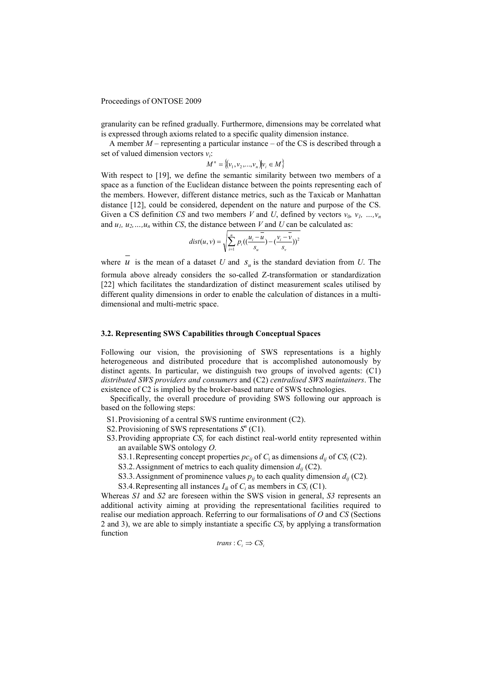granularity can be refined gradually. Furthermore, dimensions may be correlated what is expressed through axioms related to a specific quality dimension instance.

A member *M* – representing a particular instance – of the CS is described through a set of valued dimension vectors  $v_i$ :

$$
M^n = \{(v_1, v_2, ..., v_n)|v_i \in M\}
$$

With respect to [19], we define the semantic similarity between two members of a space as a function of the Euclidean distance between the points representing each of the members. However, different distance metrics, such as the Taxicab or Manhattan distance [12], could be considered, dependent on the nature and purpose of the CS. Given a CS definition *CS* and two members *V* and *U*, defined by vectors  $v_0$ ,  $v_1$ , ...,  $v_n$ and  $u_1, u_2, \ldots, u_n$  within *CS*, the distance between *V* and *U* can be calculated as:

$$
dist(u, v) = \sqrt{\sum_{i=1}^{n} p_i \left( \left( \frac{u_i - u}{s_u} \right) - \left( \frac{v_i - v}{s_v} \right) \right)^2}
$$

where  $u$  is the mean of a dataset  $U$  and  $S_u$  is the standard deviation from  $U$ . The formula above already considers the so-called Z-transformation or standardization [22] which facilitates the standardization of distinct measurement scales utilised by different quality dimensions in order to enable the calculation of distances in a multidimensional and multi-metric space.

### **3.2. Representing SWS Capabilities through Conceptual Spaces**

Following our vision, the provisioning of SWS representations is a highly heterogeneous and distributed procedure that is accomplished autonomously by distinct agents. In particular, we distinguish two groups of involved agents: (C1) *distributed SWS providers and consumers* and (C2) *centralised SWS maintainers*. The existence of C2 is implied by the broker-based nature of SWS technologies.

Specifically, the overall procedure of providing SWS following our approach is based on the following steps:

- S1.Provisioning of a central SWS runtime environment (C2).
- S2. Provisioning of SWS representations  $S<sup>n</sup>$  (C1).
- S3. Providing appropriate  $CS_i$  for each distinct real-world entity represented within an available SWS ontology *O*.
	- S3.1. Representing concept properties  $pc_{ij}$  of  $C_i$  as dimensions  $d_{ij}$  of  $CS_i$  (C2).
	- S3.2. Assignment of metrics to each quality dimension  $d_{ij}$  (C2).
	- S3.3. Assignment of prominence values  $p_{ij}$  to each quality dimension  $d_{ij}$  (C2).
	- S3.4. Representing all instances  $I_{ik}$  of  $C_i$  as members in  $CS_i$  (C1).

Whereas *S1* and *S2* are foreseen within the SWS vision in general, *S3* represents an additional activity aiming at providing the representational facilities required to realise our mediation approach. Referring to our formalisations of *O* and *CS* (Sections 2 and 3), we are able to simply instantiate a specific  $CS_i$  by applying a transformation function

$$
trans: C_i \Rightarrow CS_i
$$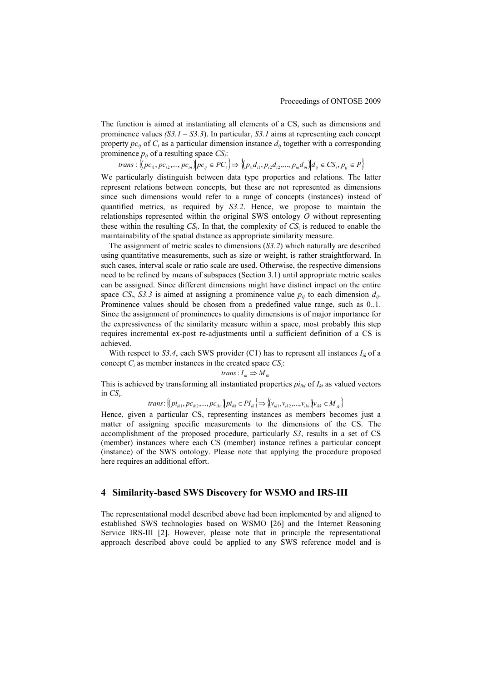The function is aimed at instantiating all elements of a CS, such as dimensions and prominence values *(S3.1 – S3.3*). In particular, *S3.1* aims at representing each concept property  $pc_{ij}$  of  $C_i$  as a particular dimension instance  $d_{ij}$  together with a corresponding prominence  $p_{ij}$  of a resulting space  $CS_i$ :

trans:  $\{[pc_{i1}, pc_{i2},..., pc_{in}]\}$   $pc_{ij} \in PC_i$   $\} \Rightarrow \{[p_{i1}d_{i1}, p_{i2}d_{i2},..., p_{in}d_{in})]$  $d_{ij} \in CS_i$ ,  $p_{ij} \in P\}$ 

We particularly distinguish between data type properties and relations. The latter represent relations between concepts, but these are not represented as dimensions since such dimensions would refer to a range of concepts (instances) instead of quantified metrics, as required by *S3.2*. Hence, we propose to maintain the relationships represented within the original SWS ontology *O* without representing these within the resulting  $CS_i$ . In that, the complexity of  $CS_i$  is reduced to enable the maintainability of the spatial distance as appropriate similarity measure.

 The assignment of metric scales to dimensions (*S3.2*) which naturally are described using quantitative measurements, such as size or weight, is rather straightforward. In such cases, interval scale or ratio scale are used. Otherwise, the respective dimensions need to be refined by means of subspaces (Section 3.1) until appropriate metric scales can be assigned. Since different dimensions might have distinct impact on the entire space  $CS_i$ ,  $S3.3$  is aimed at assigning a prominence value  $p_{ij}$  to each dimension  $d_{ij}$ . Prominence values should be chosen from a predefined value range, such as 0..1. Since the assignment of prominences to quality dimensions is of major importance for the expressiveness of the similarity measure within a space, most probably this step requires incremental ex-post re-adjustments until a sufficient definition of a CS is achieved.

With respect to *S3.4*, each SWS provider (C1) has to represent all instances  $I_{ik}$  of a concept  $C_i$  as member instances in the created space  $CS_i$ :

$$
trans: I_{ik} \Rightarrow M_{ik}
$$

This is achieved by transforming all instantiated properties  $pi_{ikl}$  of  $I_{ki}$  as valued vectors in  $CS_i$ .

trans: 
$$
\{(pi_{ik1}, pc_{ik2},...,pc_{ikn})\}\n\pi_{ikl} \in PI_{ik} \implies \{(v_{ik1}, v_{ik2},...,v_{ikn})\} \nu_{ikk} \in M_{ik}
$$

Hence, given a particular CS, representing instances as members becomes just a matter of assigning specific measurements to the dimensions of the CS. The accomplishment of the proposed procedure, particularly *S3*, results in a set of CS (member) instances where each CS (member) instance refines a particular concept (instance) of the SWS ontology. Please note that applying the procedure proposed here requires an additional effort.

# **4 Similarity-based SWS Discovery for WSMO and IRS-III**

The representational model described above had been implemented by and aligned to established SWS technologies based on WSMO [26] and the Internet Reasoning Service IRS-III [2]. However, please note that in principle the representational approach described above could be applied to any SWS reference model and is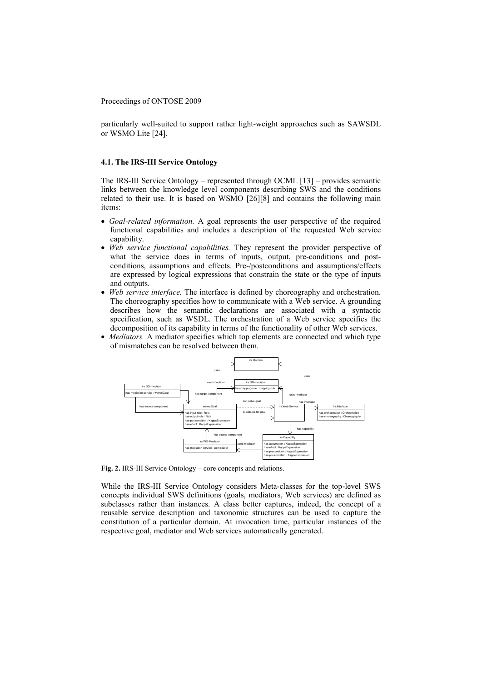particularly well-suited to support rather light-weight approaches such as SAWSDL or WSMO Lite [24].

#### **4.1. The IRS-III Service Ontology**

The IRS-III Service Ontology – represented through OCML [13] – provides semantic links between the knowledge level components describing SWS and the conditions related to their use. It is based on WSMO [26][8] and contains the following main items:

- *Goal-related information.* A goal represents the user perspective of the required functional capabilities and includes a description of the requested Web service capability.
- *Web service functional capabilities.* They represent the provider perspective of what the service does in terms of inputs, output, pre-conditions and postconditions, assumptions and effects. Pre-/postconditions and assumptions/effects are expressed by logical expressions that constrain the state or the type of inputs and outputs.
- *Web service interface.* The interface is defined by choreography and orchestration. The choreography specifies how to communicate with a Web service. A grounding describes how the semantic declarations are associated with a syntactic specification, such as WSDL. The orchestration of a Web service specifies the decomposition of its capability in terms of the functionality of other Web services.
- *Mediators.* A mediator specifies which top elements are connected and which type of mismatches can be resolved between them.



**Fig. 2.** IRS-III Service Ontology – core concepts and relations.

While the IRS-III Service Ontology considers Meta-classes for the top-level SWS concepts individual SWS definitions (goals, mediators, Web services) are defined as subclasses rather than instances. A class better captures, indeed, the concept of a reusable service description and taxonomic structures can be used to capture the constitution of a particular domain. At invocation time, particular instances of the respective goal, mediator and Web services automatically generated.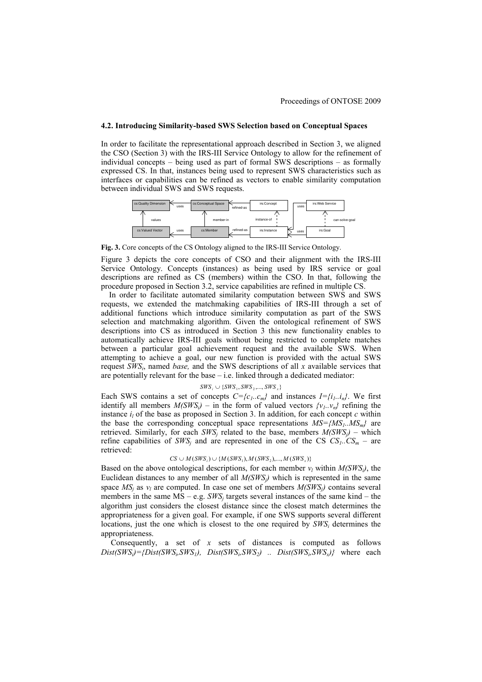#### **4.2. Introducing Similarity-based SWS Selection based on Conceptual Spaces**

In order to facilitate the representational approach described in Section 3, we aligned the CSO (Section 3) with the IRS-III Service Ontology to allow for the refinement of individual concepts – being used as part of formal SWS descriptions – as formally expressed CS. In that, instances being used to represent SWS characteristics such as interfaces or capabilities can be refined as vectors to enable similarity computation between individual SWS and SWS requests.



**Fig. 3.** Core concepts of the CS Ontology aligned to the IRS-III Service Ontology.

Figure 3 depicts the core concepts of CSO and their alignment with the IRS-III Service Ontology. Concepts (instances) as being used by IRS service or goal descriptions are refined as CS (members) within the CSO. In that, following the procedure proposed in Section 3.2, service capabilities are refined in multiple CS.

 In order to facilitate automated similarity computation between SWS and SWS requests, we extended the matchmaking capabilities of IRS-III through a set of additional functions which introduce similarity computation as part of the SWS selection and matchmaking algorithm. Given the ontological refinement of SWS descriptions into CS as introduced in Section 3 this new functionality enables to automatically achieve IRS-III goals without being restricted to complete matches between a particular goal achievement request and the available SWS. When attempting to achieve a goal, our new function is provided with the actual SWS request *SWS<sup>i</sup>* , named *base,* and the SWS descriptions of all *x* available services that are potentially relevant for the base – i.e. linked through a dedicated mediator:

#### $SWS<sub>i</sub> ∪ {SWS<sub>1</sub>, SWS<sub>2</sub>, ..., SWS<sub>x</sub>}$

Each SWS contains a set of concepts  $C = \{c_1, c_m\}$  and instances  $I = \{i_1, i_m\}$ . We first identify all members  $M(SWS_i)$  – in the form of valued vectors  $\{v_i, v_n\}$  refining the instance  $i_l$  of the base as proposed in Section 3. In addition, for each concept  $c$  within the base the corresponding conceptual space representations  $MS = \{MS_1, MS_m\}$  are retrieved. Similarly, for each  $SWS_j$  related to the base, members  $M(SWS_j)$  – which refine capabilities of  $SWS_j$  and are represented in one of the CS  $CS_1$ ... $CS_m$  – are retrieved:

#### $CS \cup M(SWS_i) \cup \{M(SWS_1), M(SWS_2), ..., M(SWS_n)\}$

Based on the above ontological descriptions, for each member  $v_l$  within  $M(SWS_l)$ , the Euclidean distances to any member of all  $M(SWS)$  which is represented in the same space  $MS_j$  as  $v_l$  are computed. In case one set of members  $M(SWS_j)$  contains several members in the same  $MS - e.g. \textit{SWS}_j$  targets several instances of the same kind – the algorithm just considers the closest distance since the closest match determines the appropriateness for a given goal. For example, if one SWS supports several different locations, just the one which is closest to the one required by  $SWS_i$  determines the appropriateness.

Consequently, a set of *x* sets of distances is computed as follows  $Dist(SWS_i) = \{Dist(SWS_i, SWS_1), \quad Dist(SWS_i, SWS_2) \quad . \quad Dist(SWS_i, SWS_x)\}$  where each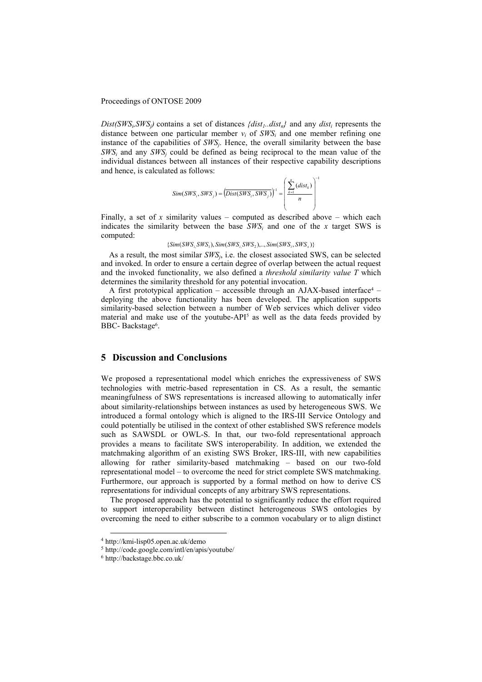$Dist(SWS_i, SWS_j)$  contains a set of distances  $\{dist_1, dist_n\}$  and any  $dist_i$  represents the distance between one particular member  $v_i$  of  $SWS_i$  and one member refining one instance of the capabilities of *SWS<sup>j</sup>* . Hence, the overall similarity between the base  $SWS_i$  and any  $SWS_j$  could be defined as being reciprocal to the mean value of the individual distances between all instances of their respective capability descriptions and hence, is calculated as follows:

$$
Sim(SWS_i, SWS_j) = (Dist(SWS_i, SWS_j))^{-1} = \left(\frac{\sum_{k=1}^{n} (dist_k)}{n}\right)^{-1}
$$

Finally, a set of  $x$  similarity values – computed as described above – which each indicates the similarity between the base  $SWS_i$  and one of the *x* target SWS is computed:

 ${Sim(SWS, SWS_1), Sim(SWS, SWS_2), ..., Sim(SWS_i, SWS_x)}$ 

As a result, the most similar  $SWS_j$ , i.e. the closest associated SWS, can be selected and invoked. In order to ensure a certain degree of overlap between the actual request and the invoked functionality, we also defined a *threshold similarity value T* which determines the similarity threshold for any potential invocation.

A first prototypical application  $-$  accessible through an AJAX-based interface<sup>4</sup>  $$ deploying the above functionality has been developed. The application supports similarity-based selection between a number of Web services which deliver video material and make use of the youtube-API<sup>5</sup> as well as the data feeds provided by BBC-Backstage<sup>6</sup>.

# **5 Discussion and Conclusions**

We proposed a representational model which enriches the expressiveness of SWS technologies with metric-based representation in CS. As a result, the semantic meaningfulness of SWS representations is increased allowing to automatically infer about similarity-relationships between instances as used by heterogeneous SWS. We introduced a formal ontology which is aligned to the IRS-III Service Ontology and could potentially be utilised in the context of other established SWS reference models such as SAWSDL or OWL-S. In that, our two-fold representational approach provides a means to facilitate SWS interoperability. In addition, we extended the matchmaking algorithm of an existing SWS Broker, IRS-III, with new capabilities allowing for rather similarity-based matchmaking – based on our two-fold representational model – to overcome the need for strict complete SWS matchmaking. Furthermore, our approach is supported by a formal method on how to derive CS representations for individual concepts of any arbitrary SWS representations.

The proposed approach has the potential to significantly reduce the effort required to support interoperability between distinct heterogeneous SWS ontologies by overcoming the need to either subscribe to a common vocabulary or to align distinct

-

<sup>4</sup> http://kmi-lisp05.open.ac.uk/demo

<sup>5</sup> http://code.google.com/intl/en/apis/youtube/

<sup>6</sup> http://backstage.bbc.co.uk/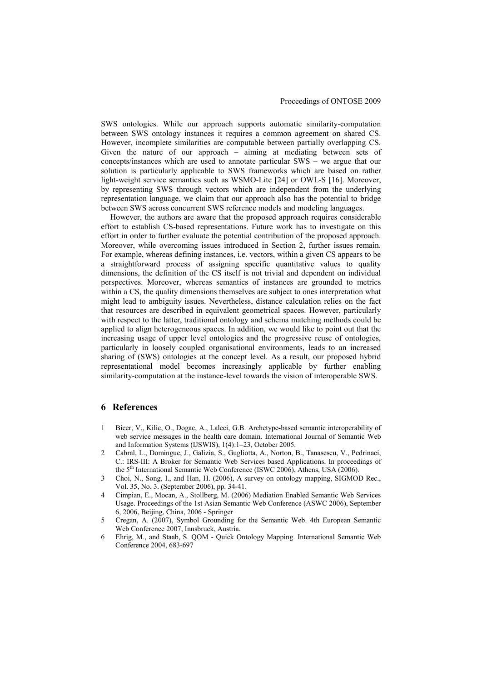SWS ontologies. While our approach supports automatic similarity-computation between SWS ontology instances it requires a common agreement on shared CS. However, incomplete similarities are computable between partially overlapping CS. Given the nature of our approach – aiming at mediating between sets of concepts/instances which are used to annotate particular SWS – we argue that our solution is particularly applicable to SWS frameworks which are based on rather light-weight service semantics such as WSMO-Lite [24] or OWL-S [16]. Moreover, by representing SWS through vectors which are independent from the underlying representation language, we claim that our approach also has the potential to bridge between SWS across concurrent SWS reference models and modeling languages.

However, the authors are aware that the proposed approach requires considerable effort to establish CS-based representations. Future work has to investigate on this effort in order to further evaluate the potential contribution of the proposed approach. Moreover, while overcoming issues introduced in Section 2, further issues remain. For example, whereas defining instances, i.e. vectors, within a given CS appears to be a straightforward process of assigning specific quantitative values to quality dimensions, the definition of the CS itself is not trivial and dependent on individual perspectives. Moreover, whereas semantics of instances are grounded to metrics within a CS, the quality dimensions themselves are subject to ones interpretation what might lead to ambiguity issues. Nevertheless, distance calculation relies on the fact that resources are described in equivalent geometrical spaces. However, particularly with respect to the latter, traditional ontology and schema matching methods could be applied to align heterogeneous spaces. In addition, we would like to point out that the increasing usage of upper level ontologies and the progressive reuse of ontologies, particularly in loosely coupled organisational environments, leads to an increased sharing of (SWS) ontologies at the concept level. As a result, our proposed hybrid representational model becomes increasingly applicable by further enabling similarity-computation at the instance-level towards the vision of interoperable SWS.

# **6 References**

- 1 Bicer, V., Kilic, O., Dogac, A., Laleci, G.B. Archetype-based semantic interoperability of web service messages in the health care domain. International Journal of Semantic Web and Information Systems (IJSWIS), 1(4):1–23, October 2005.
- 2 Cabral, L., Domingue, J., Galizia, S., Gugliotta, A., Norton, B., Tanasescu, V., Pedrinaci, C.: IRS-III: A Broker for Semantic Web Services based Applications. In proceedings of the 5<sup>th</sup> International Semantic Web Conference (ISWC 2006), Athens, USA (2006).
- 3 Choi, N., Song, I., and Han, H. (2006), A survey on ontology mapping, SIGMOD Rec., Vol. 35, No. 3. (September 2006), pp. 34-41.
- 4 Cimpian, E., Mocan, A., Stollberg, M. (2006) Mediation Enabled Semantic Web Services Usage. Proceedings of the 1st Asian Semantic Web Conference (ASWC 2006), September 6, 2006, Beijing, China, 2006 - Springer
- 5 Cregan, A. (2007), Symbol Grounding for the Semantic Web. 4th European Semantic Web Conference 2007, Innsbruck, Austria.
- 6 Ehrig, M., and Staab, S. QOM Quick Ontology Mapping. International Semantic Web Conference 2004, 683-697